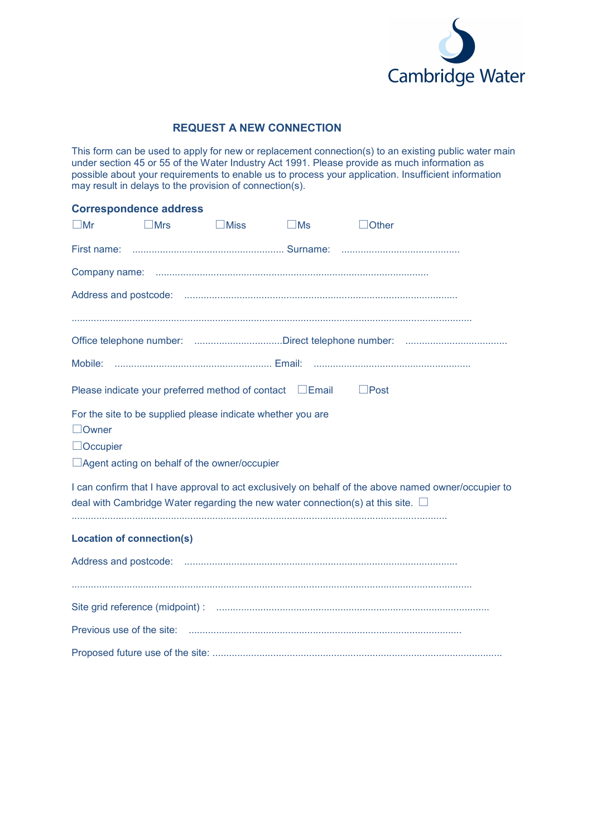

# **REQUEST A NEW CONNECTION**

This form can be used to apply for new or replacement connection(s) to an existing public water main under section 45 or 55 of the Water Industry Act 1991. Please provide as much information as possible about your requirements to enable us to process your application. Insufficient information may result in delays to the provision of connection(s).

|                                  | <b>Correspondence address</b>                               |             |                                                               |                                                                                                                                                                                                 |
|----------------------------------|-------------------------------------------------------------|-------------|---------------------------------------------------------------|-------------------------------------------------------------------------------------------------------------------------------------------------------------------------------------------------|
| $\square$ Mr                     | $\Box$ Mrs                                                  | $\Box$ Miss | $\Box$ Ms                                                     | $\lrcorner$ Other                                                                                                                                                                               |
|                                  |                                                             |             |                                                               |                                                                                                                                                                                                 |
|                                  |                                                             |             |                                                               |                                                                                                                                                                                                 |
|                                  |                                                             |             |                                                               |                                                                                                                                                                                                 |
|                                  |                                                             |             |                                                               |                                                                                                                                                                                                 |
|                                  |                                                             |             |                                                               |                                                                                                                                                                                                 |
|                                  |                                                             |             |                                                               |                                                                                                                                                                                                 |
|                                  |                                                             |             | Please indicate your preferred method of contact $\Box$ Email | $\Box$ Post                                                                                                                                                                                     |
|                                  | For the site to be supplied please indicate whether you are |             |                                                               |                                                                                                                                                                                                 |
| $\Box$ Owner<br>$\Box$ Occupier  |                                                             |             |                                                               |                                                                                                                                                                                                 |
|                                  | □ Agent acting on behalf of the owner/occupier              |             |                                                               |                                                                                                                                                                                                 |
|                                  |                                                             |             |                                                               | I can confirm that I have approval to act exclusively on behalf of the above named owner/occupier to<br>deal with Cambridge Water regarding the new water connection(s) at this site. $\square$ |
| <b>Location of connection(s)</b> |                                                             |             |                                                               |                                                                                                                                                                                                 |
|                                  |                                                             |             |                                                               |                                                                                                                                                                                                 |
|                                  |                                                             |             |                                                               |                                                                                                                                                                                                 |
|                                  |                                                             |             |                                                               |                                                                                                                                                                                                 |
|                                  |                                                             |             |                                                               |                                                                                                                                                                                                 |
|                                  |                                                             |             |                                                               |                                                                                                                                                                                                 |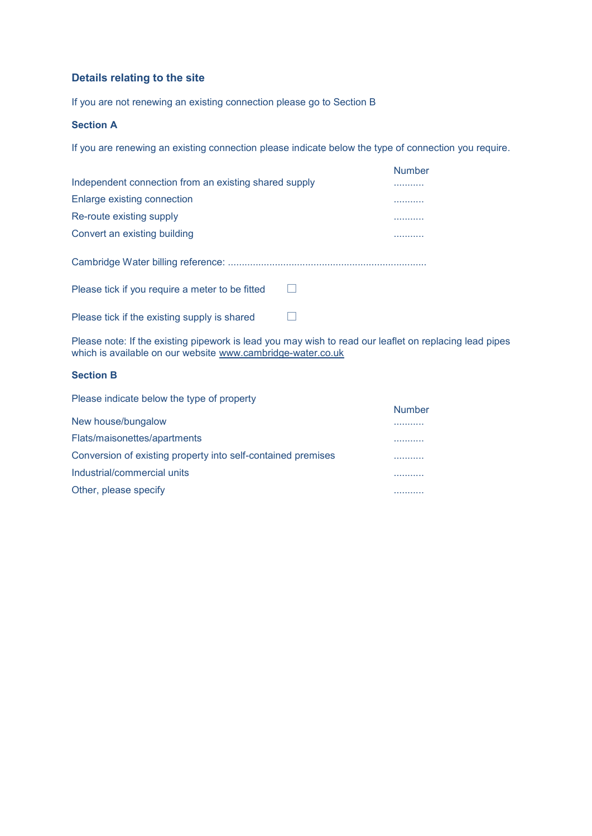### **Details relating to the site**

If you are not renewing an existing connection please go to Section B

### **Section A**

If you are renewing an existing connection please indicate below the type of connection you require.

| Independent connection from an existing shared supply | <b>Number</b> |
|-------------------------------------------------------|---------------|
| Enlarge existing connection                           | .             |
| Re-route existing supply                              | .             |
| Convert an existing building                          | .             |
|                                                       |               |
| Please tick if you require a meter to be fitted       |               |
| Please tick if the existing supply is shared          |               |

Please note: If the existing pipework is lead you may wish to read our leaflet on replacing lead pipes which is available on our website [www.cambridge-water.co.uk](http://www.cambridge-water.co.uk/)

### **Section B**

| Please indicate below the type of property                   |               |
|--------------------------------------------------------------|---------------|
|                                                              | <b>Number</b> |
| New house/bungalow                                           | .             |
| Flats/maisonettes/apartments                                 |               |
| Conversion of existing property into self-contained premises |               |
| Industrial/commercial units                                  |               |
| Other, please specify                                        |               |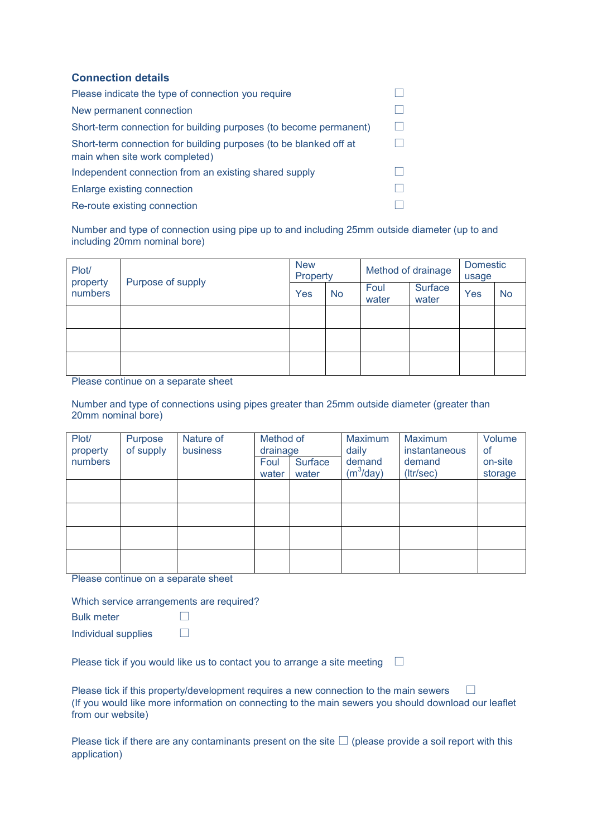### **Connection details**

| Please indicate the type of connection you require                                                  |  |
|-----------------------------------------------------------------------------------------------------|--|
| New permanent connection                                                                            |  |
| Short-term connection for building purposes (to become permanent)                                   |  |
| Short-term connection for building purposes (to be blanked off at<br>main when site work completed) |  |
| Independent connection from an existing shared supply                                               |  |
| Enlarge existing connection                                                                         |  |
| Re-route existing connection                                                                        |  |

Number and type of connection using pipe up to and including 25mm outside diameter (up to and including 20mm nominal bore)

| Plot/<br>property<br>numbers | Purpose of supply | <b>New</b><br>Property |           | Method of drainage |                  | <b>Domestic</b><br>usage |           |
|------------------------------|-------------------|------------------------|-----------|--------------------|------------------|--------------------------|-----------|
|                              |                   | Yes                    | <b>No</b> | Foul<br>water      | Surface<br>water | Yes                      | <b>No</b> |
|                              |                   |                        |           |                    |                  |                          |           |
|                              |                   |                        |           |                    |                  |                          |           |
|                              |                   |                        |           |                    |                  |                          |           |

Please continue on a separate sheet

Number and type of connections using pipes greater than 25mm outside diameter (greater than 20mm nominal bore)

| Plot/<br>property | Purpose<br>of supply | Nature of<br>business | Method of<br>drainage |                  | Maximum<br>daily       | Maximum<br>instantaneous | Volume<br><b>of</b> |
|-------------------|----------------------|-----------------------|-----------------------|------------------|------------------------|--------------------------|---------------------|
| numbers           |                      |                       | Foul<br>water         | Surface<br>water | demand<br>$(m^3$ /day) | demand<br>(Itr/sec)      | on-site<br>storage  |
|                   |                      |                       |                       |                  |                        |                          |                     |
|                   |                      |                       |                       |                  |                        |                          |                     |
|                   |                      |                       |                       |                  |                        |                          |                     |
|                   |                      |                       |                       |                  |                        |                          |                     |

Please continue on a separate sheet

Which service arrangements are required?

Bulk meter **D** 

Individual supplies  $\Box$ 

Please tick if you would like us to contact you to arrange a site meeting  $\square$ 

Please tick if this property/development requires a new connection to the main sewers  $\Box$ (If you would like more information on connecting to the main sewers you should download our leaflet from our website)

Please tick if there are any contaminants present on the site  $\Box$  (please provide a soil report with this application)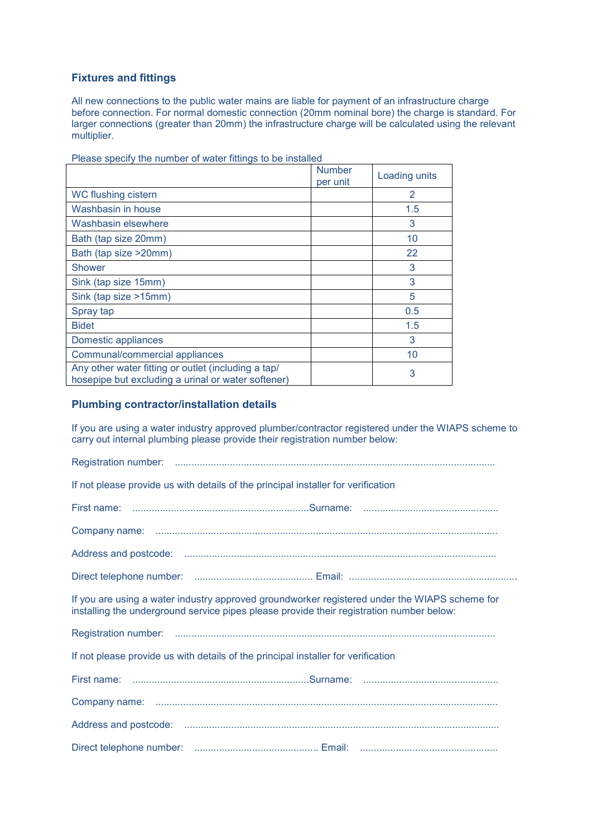### **Fixtures and fittings**

All new connections to the public water mains are liable for payment of an infrastructure charge before connection. For normal domestic connection (20mm nominal bore) the charge is standard. For larger connections (greater than 20mm) the infrastructure charge will be calculated using the relevant multiplier.

|                                                                                                           | <b>Number</b><br>per unit | Loading units  |
|-----------------------------------------------------------------------------------------------------------|---------------------------|----------------|
| WC flushing cistern                                                                                       |                           | $\overline{2}$ |
| Washbasin in house                                                                                        |                           | 1.5            |
| Washbasin elsewhere                                                                                       |                           | 3              |
| Bath (tap size 20mm)                                                                                      |                           | 10             |
| Bath (tap size >20mm)                                                                                     |                           | 22             |
| Shower                                                                                                    |                           | 3              |
| Sink (tap size 15mm)                                                                                      |                           | 3              |
| Sink (tap size >15mm)                                                                                     |                           | 5              |
| Spray tap                                                                                                 |                           | 0.5            |
| <b>Bidet</b>                                                                                              |                           | 1.5            |
| Domestic appliances                                                                                       |                           | 3              |
| Communal/commercial appliances                                                                            |                           | 10             |
| Any other water fitting or outlet (including a tap/<br>hosepipe but excluding a urinal or water softener) |                           | 3              |

Please specify the number of water fittings to be installed

#### **Plumbing contractor/installation details**

If you are using a water industry approved plumber/contractor registered under the WIAPS scheme to carry out internal plumbing please provide their registration number below:

| If not please provide us with details of the principal installer for verification                                                                                                         |
|-------------------------------------------------------------------------------------------------------------------------------------------------------------------------------------------|
|                                                                                                                                                                                           |
|                                                                                                                                                                                           |
|                                                                                                                                                                                           |
|                                                                                                                                                                                           |
| If you are using a water industry approved groundworker registered under the WIAPS scheme for<br>installing the underground service pipes please provide their registration number below: |
|                                                                                                                                                                                           |
| If not please provide us with details of the principal installer for verification                                                                                                         |
|                                                                                                                                                                                           |
|                                                                                                                                                                                           |
|                                                                                                                                                                                           |
|                                                                                                                                                                                           |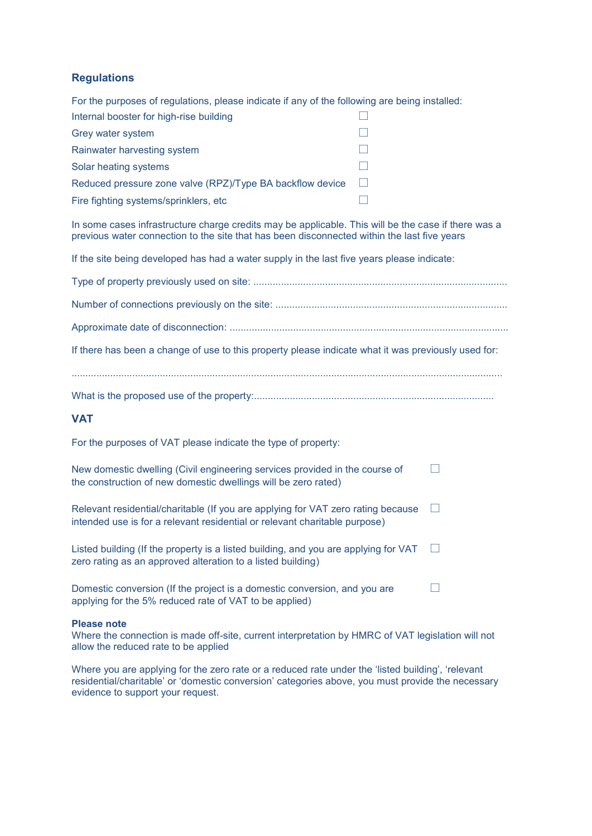## **Regulations**

For the purposes of regulations, please indicate if any of the following are being installed: Internal booster for high-rise building

| Internal booster for high-rise building                   |  |
|-----------------------------------------------------------|--|
| Grey water system                                         |  |
| Rainwater harvesting system                               |  |
| Solar heating systems                                     |  |
| Reduced pressure zone valve (RPZ)/Type BA backflow device |  |
| Fire fighting systems/sprinklers, etc                     |  |

In some cases infrastructure charge credits may be applicable. This will be the case if there was a previous water connection to the site that has been disconnected within the last five years

If the site being developed has had a water supply in the last five years please indicate:

| If there has been a change of use to this property please indicate what it was previously used for: |
|-----------------------------------------------------------------------------------------------------|
|                                                                                                     |

What is the proposed use of the property:.......................................................................................

### **VAT**

For the purposes of VAT please indicate the type of property:

| New domestic dwelling (Civil engineering services provided in the course of |  |
|-----------------------------------------------------------------------------|--|
| the construction of new domestic dwellings will be zero rated)              |  |

| Relevant residential/charitable (If you are applying for VAT zero rating because | $\Box$ |
|----------------------------------------------------------------------------------|--------|
| intended use is for a relevant residential or relevant charitable purpose)       |        |

| Listed building (If the property is a listed building, and you are applying for VAT | $\Box$ |
|-------------------------------------------------------------------------------------|--------|
| zero rating as an approved alteration to a listed building)                         |        |

Domestic conversion (If the project is a domestic conversion, and you are  $\Box$ applying for the 5% reduced rate of VAT to be applied)

#### **Please note**

Where the connection is made off-site, current interpretation by HMRC of VAT legislation will not allow the reduced rate to be applied

Where you are applying for the zero rate or a reduced rate under the 'listed building', 'relevant residential/charitable' or 'domestic conversion' categories above, you must provide the necessary evidence to support your request.